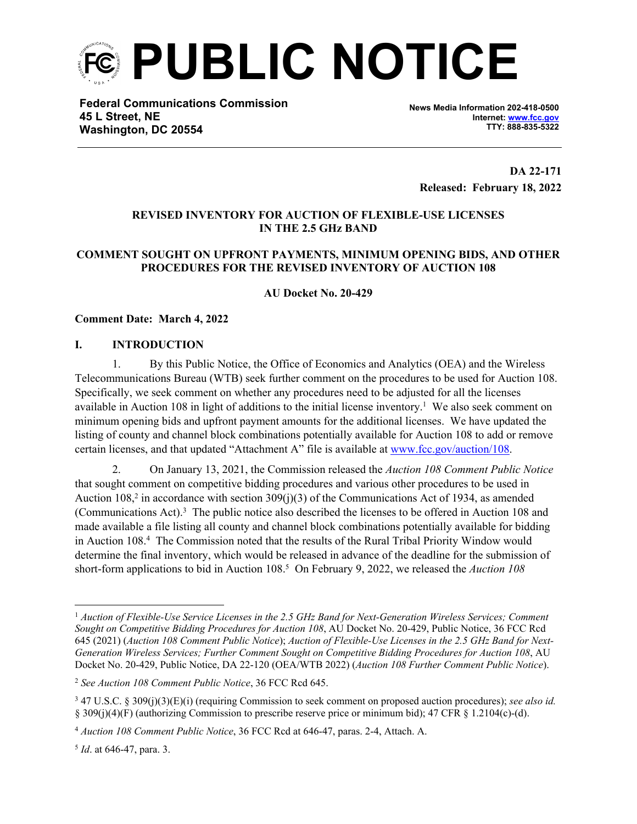

**Federal Communications Commission 45 L Street, NE Washington, DC 20554**

**News Media Information 202-418-0500 Internet: [www.fcc.gov](http://www.fcc.gov) TTY: 888-835-5322**

**DA 22-171 Released: February 18, 2022**

## **REVISED INVENTORY FOR AUCTION OF FLEXIBLE-USE LICENSES IN THE 2.5 GHz BAND**

# **COMMENT SOUGHT ON UPFRONT PAYMENTS, MINIMUM OPENING BIDS, AND OTHER PROCEDURES FOR THE REVISED INVENTORY OF AUCTION 108**

**AU Docket No. 20-429** 

#### **Comment Date: March 4, 2022**

#### **I. INTRODUCTION**

1. By this Public Notice, the Office of Economics and Analytics (OEA) and the Wireless Telecommunications Bureau (WTB) seek further comment on the procedures to be used for Auction 108. Specifically, we seek comment on whether any procedures need to be adjusted for all the licenses available in Auction 108 in light of additions to the initial license inventory.<sup>1</sup> We also seek comment on minimum opening bids and upfront payment amounts for the additional licenses. We have updated the listing of county and channel block combinations potentially available for Auction 108 to add or remove certain licenses, and that updated "Attachment A" file is available at [www.fcc.gov/auction/108.](http://www.fcc.gov/auction/108)

2. On January 13, 2021, the Commission released the *Auction 108 Comment Public Notice* that sought comment on competitive bidding procedures and various other procedures to be used in Auction 108,<sup>2</sup> in accordance with section 309(j)(3) of the Communications Act of 1934, as amended (Communications Act).<sup>3</sup> The public notice also described the licenses to be offered in Auction 108 and made available a file listing all county and channel block combinations potentially available for bidding in Auction 108.<sup>4</sup> The Commission noted that the results of the Rural Tribal Priority Window would determine the final inventory, which would be released in advance of the deadline for the submission of short-form applications to bid in Auction 108.<sup>5</sup> On February 9, 2022, we released the *Auction 108* 

<sup>1</sup> *Auction of Flexible-Use Service Licenses in the 2.5 GHz Band for Next-Generation Wireless Services; Comment Sought on Competitive Bidding Procedures for Auction 108*, AU Docket No. 20-429, Public Notice, 36 FCC Rcd 645 (2021) (*Auction 108 Comment Public Notice*); *Auction of Flexible-Use Licenses in the 2.5 GHz Band for Next-Generation Wireless Services; Further Comment Sought on Competitive Bidding Procedures for Auction 108*, AU Docket No. 20-429, Public Notice, DA 22-120 (OEA/WTB 2022) (*Auction 108 Further Comment Public Notice*).

<sup>2</sup> *See Auction 108 Comment Public Notice*, 36 FCC Rcd 645.

<sup>3</sup> 47 U.S.C. § 309(j)(3)(E)(i) (requiring Commission to seek comment on proposed auction procedures); *see also id.* § 309(j)(4)(F) (authorizing Commission to prescribe reserve price or minimum bid); 47 CFR § 1.2104(c)-(d).

<sup>4</sup> *Auction 108 Comment Public Notice*, 36 FCC Rcd at 646-47, paras. 2-4, Attach. A.

<sup>5</sup> *Id*. at 646-47, para. 3.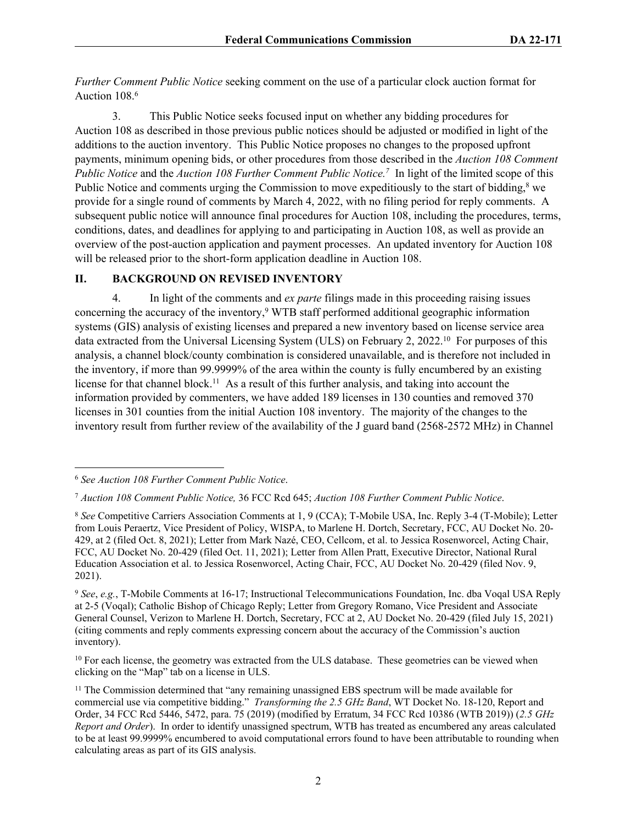*Further Comment Public Notice* seeking comment on the use of a particular clock auction format for Auction 108.<sup>6</sup>

3. This Public Notice seeks focused input on whether any bidding procedures for Auction 108 as described in those previous public notices should be adjusted or modified in light of the additions to the auction inventory. This Public Notice proposes no changes to the proposed upfront payments, minimum opening bids, or other procedures from those described in the *Auction 108 Comment Public Notice* and the *Auction 108 Further Comment Public Notice.<sup>7</sup>* In light of the limited scope of this Public Notice and comments urging the Commission to move expeditiously to the start of bidding,<sup>8</sup> we provide for a single round of comments by March 4, 2022, with no filing period for reply comments. A subsequent public notice will announce final procedures for Auction 108, including the procedures, terms, conditions, dates, and deadlines for applying to and participating in Auction 108, as well as provide an overview of the post-auction application and payment processes. An updated inventory for Auction 108 will be released prior to the short-form application deadline in Auction 108.

## **II. BACKGROUND ON REVISED INVENTORY**

4. In light of the comments and *ex parte* filings made in this proceeding raising issues concerning the accuracy of the inventory,<sup>9</sup> WTB staff performed additional geographic information systems (GIS) analysis of existing licenses and prepared a new inventory based on license service area data extracted from the Universal Licensing System (ULS) on February 2, 2022.<sup>10</sup> For purposes of this analysis, a channel block/county combination is considered unavailable, and is therefore not included in the inventory, if more than 99.9999% of the area within the county is fully encumbered by an existing license for that channel block.<sup>11</sup> As a result of this further analysis, and taking into account the information provided by commenters, we have added 189 licenses in 130 counties and removed 370 licenses in 301 counties from the initial Auction 108 inventory. The majority of the changes to the inventory result from further review of the availability of the J guard band (2568-2572 MHz) in Channel

<sup>6</sup> *See Auction 108 Further Comment Public Notice*.

<sup>7</sup> *Auction 108 Comment Public Notice,* 36 FCC Rcd 645; *Auction 108 Further Comment Public Notice*.

<sup>8</sup> *See* Competitive Carriers Association Comments at 1, 9 (CCA); T-Mobile USA, Inc. Reply 3-4 (T-Mobile); Letter from Louis Peraertz, Vice President of Policy, WISPA, to Marlene H. Dortch, Secretary, FCC, AU Docket No. 20- 429, at 2 (filed Oct. 8, 2021); Letter from Mark Nazé, CEO, Cellcom, et al. to Jessica Rosenworcel, Acting Chair, FCC, AU Docket No. 20-429 (filed Oct. 11, 2021); Letter from Allen Pratt, Executive Director, National Rural Education Association et al. to Jessica Rosenworcel, Acting Chair, FCC, AU Docket No. 20-429 (filed Nov. 9, 2021).

<sup>9</sup> *See*, *e.g.*, T-Mobile Comments at 16-17; Instructional Telecommunications Foundation, Inc. dba Voqal USA Reply at 2-5 (Voqal); Catholic Bishop of Chicago Reply; Letter from Gregory Romano, Vice President and Associate General Counsel, Verizon to Marlene H. Dortch, Secretary, FCC at 2, AU Docket No. 20-429 (filed July 15, 2021) (citing comments and reply comments expressing concern about the accuracy of the Commission's auction inventory).

<sup>&</sup>lt;sup>10</sup> For each license, the geometry was extracted from the ULS database. These geometries can be viewed when clicking on the "Map" tab on a license in ULS.

<sup>&</sup>lt;sup>11</sup> The Commission determined that "any remaining unassigned EBS spectrum will be made available for commercial use via competitive bidding." *Transforming the 2.5 GHz Band*, WT Docket No. 18-120, Report and Order, 34 FCC Rcd 5446, 5472, para. 75 (2019) (modified by Erratum, 34 FCC Rcd 10386 (WTB 2019)) (*2.5 GHz Report and Order*). In order to identify unassigned spectrum, WTB has treated as encumbered any areas calculated to be at least 99.9999% encumbered to avoid computational errors found to have been attributable to rounding when calculating areas as part of its GIS analysis.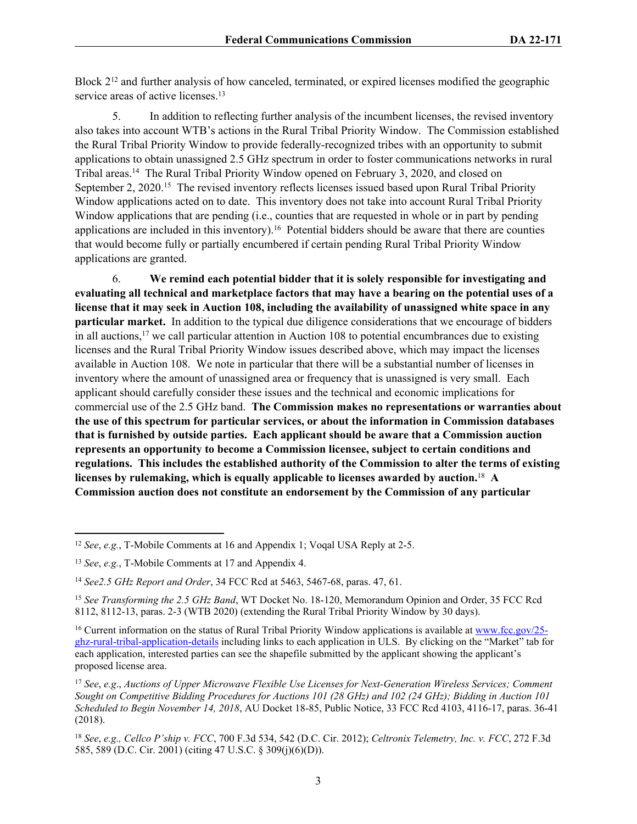Block 2<sup>12</sup> and further analysis of how canceled, terminated, or expired licenses modified the geographic service areas of active licenses.<sup>13</sup>

5. In addition to reflecting further analysis of the incumbent licenses, the revised inventory also takes into account WTB's actions in the Rural Tribal Priority Window. The Commission established the Rural Tribal Priority Window to provide federally-recognized tribes with an opportunity to submit applications to obtain unassigned 2.5 GHz spectrum in order to foster communications networks in rural Tribal areas.<sup>14</sup> The Rural Tribal Priority Window opened on February 3, 2020, and closed on September 2, 2020.<sup>15</sup> The revised inventory reflects licenses issued based upon Rural Tribal Priority Window applications acted on to date. This inventory does not take into account Rural Tribal Priority Window applications that are pending (i.e., counties that are requested in whole or in part by pending applications are included in this inventory).<sup>16</sup> Potential bidders should be aware that there are counties that would become fully or partially encumbered if certain pending Rural Tribal Priority Window applications are granted.

6. **We remind each potential bidder that it is solely responsible for investigating and evaluating all technical and marketplace factors that may have a bearing on the potential uses of a license that it may seek in Auction 108, including the availability of unassigned white space in any particular market.** In addition to the typical due diligence considerations that we encourage of bidders in all auctions,<sup>17</sup> we call particular attention in Auction 108 to potential encumbrances due to existing licenses and the Rural Tribal Priority Window issues described above, which may impact the licenses available in Auction 108. We note in particular that there will be a substantial number of licenses in inventory where the amount of unassigned area or frequency that is unassigned is very small. Each applicant should carefully consider these issues and the technical and economic implications for commercial use of the 2.5 GHz band. **The Commission makes no representations or warranties about the use of this spectrum for particular services, or about the information in Commission databases that is furnished by outside parties. Each applicant should be aware that a Commission auction represents an opportunity to become a Commission licensee, subject to certain conditions and regulations. This includes the established authority of the Commission to alter the terms of existing licenses by rulemaking, which is equally applicable to licenses awarded by auction.**<sup>18</sup> **A Commission auction does not constitute an endorsement by the Commission of any particular** 

<sup>12</sup> *See*, *e.g.*, T-Mobile Comments at 16 and Appendix 1; Voqal USA Reply at 2-5.

<sup>13</sup> *See*, *e.g.*, T-Mobile Comments at 17 and Appendix 4.

<sup>14</sup> *See2.5 GHz Report and Order*, 34 FCC Rcd at 5463, 5467-68, paras. 47, 61.

<sup>15</sup> *See Transforming the 2.5 GHz Band*, WT Docket No. 18-120, Memorandum Opinion and Order, 35 FCC Rcd 8112, 8112-13, paras. 2-3 (WTB 2020) (extending the Rural Tribal Priority Window by 30 days).

<sup>&</sup>lt;sup>16</sup> Current information on the status of Rural Tribal Priority Window applications is available at [www.fcc.gov/25](http://www.fcc.gov/25-ghz-rural-tribal-application-details) [ghz-rural-tribal-application-details](http://www.fcc.gov/25-ghz-rural-tribal-application-details) including links to each application in ULS. By clicking on the "Market" tab for each application, interested parties can see the shapefile submitted by the applicant showing the applicant's proposed license area.

<sup>17</sup> *See*, *e.g*., *Auctions of Upper Microwave Flexible Use Licenses for Next-Generation Wireless Services; Comment Sought on Competitive Bidding Procedures for Auctions 101 (28 GHz) and 102 (24 GHz); Bidding in Auction 101 Scheduled to Begin November 14, 2018*, AU Docket 18-85, Public Notice, 33 FCC Rcd 4103, 4116-17, paras. 36-41 (2018).

<sup>18</sup> *See*, *e.g., Cellco P'ship v. FCC*, 700 F.3d 534, 542 (D.C. Cir. 2012); *Celtronix Telemetry, Inc. v. FCC*, 272 F.3d 585, 589 (D.C. Cir. 2001) (citing 47 U.S.C. § 309(j)(6)(D)).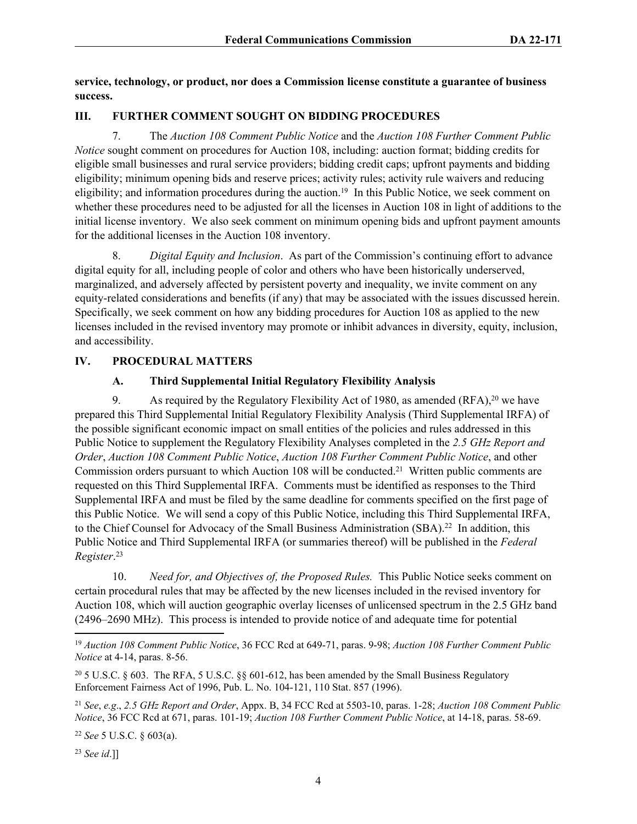**service, technology, or product, nor does a Commission license constitute a guarantee of business success.**

## **III. FURTHER COMMENT SOUGHT ON BIDDING PROCEDURES**

7. The *Auction 108 Comment Public Notice* and the *Auction 108 Further Comment Public Notice* sought comment on procedures for Auction 108, including: auction format; bidding credits for eligible small businesses and rural service providers; bidding credit caps; upfront payments and bidding eligibility; minimum opening bids and reserve prices; activity rules; activity rule waivers and reducing eligibility; and information procedures during the auction.<sup>19</sup> In this Public Notice, we seek comment on whether these procedures need to be adjusted for all the licenses in Auction 108 in light of additions to the initial license inventory. We also seek comment on minimum opening bids and upfront payment amounts for the additional licenses in the Auction 108 inventory.

8. *Digital Equity and Inclusion*. As part of the Commission's continuing effort to advance digital equity for all, including people of color and others who have been historically underserved, marginalized, and adversely affected by persistent poverty and inequality, we invite comment on any equity-related considerations and benefits (if any) that may be associated with the issues discussed herein. Specifically, we seek comment on how any bidding procedures for Auction 108 as applied to the new licenses included in the revised inventory may promote or inhibit advances in diversity, equity, inclusion, and accessibility.

## **IV. PROCEDURAL MATTERS**

## **A. Third Supplemental Initial Regulatory Flexibility Analysis**

9. As required by the Regulatory Flexibility Act of 1980, as amended (RFA),<sup>20</sup> we have prepared this Third Supplemental Initial Regulatory Flexibility Analysis (Third Supplemental IRFA) of the possible significant economic impact on small entities of the policies and rules addressed in this Public Notice to supplement the Regulatory Flexibility Analyses completed in the *2.5 GHz Report and Order*, *Auction 108 Comment Public Notice*, *Auction 108 Further Comment Public Notice*, and other Commission orders pursuant to which Auction 108 will be conducted.<sup>21</sup> Written public comments are requested on this Third Supplemental IRFA. Comments must be identified as responses to the Third Supplemental IRFA and must be filed by the same deadline for comments specified on the first page of this Public Notice. We will send a copy of this Public Notice, including this Third Supplemental IRFA, to the Chief Counsel for Advocacy of the Small Business Administration (SBA).<sup>22</sup> In addition, this Public Notice and Third Supplemental IRFA (or summaries thereof) will be published in the *Federal Register*. 23

10. *Need for, and Objectives of, the Proposed Rules.* This Public Notice seeks comment on certain procedural rules that may be affected by the new licenses included in the revised inventory for Auction 108, which will auction geographic overlay licenses of unlicensed spectrum in the 2.5 GHz band (2496–2690 MHz). This process is intended to provide notice of and adequate time for potential

<sup>19</sup> *Auction 108 Comment Public Notice*, 36 FCC Rcd at 649-71, paras. 9-98; *Auction 108 Further Comment Public Notice* at 4-14, paras. 8-56.

<sup>20</sup> 5 U.S.C. § 603. The RFA, 5 U.S.C. §§ 601-612, has been amended by the Small Business Regulatory Enforcement Fairness Act of 1996, Pub. L. No. 104-121, 110 Stat. 857 (1996).

<sup>21</sup> *See*, *e.g*., *2.5 GHz Report and Order*, Appx. B, 34 FCC Rcd at 5503-10, paras. 1-28; *Auction 108 Comment Public Notice*, 36 FCC Rcd at 671, paras. 101-19; *Auction 108 Further Comment Public Notice*, at 14-18, paras. 58-69.

<sup>22</sup> *See* 5 U.S.C. § 603(a).

<sup>23</sup> *See id*.]]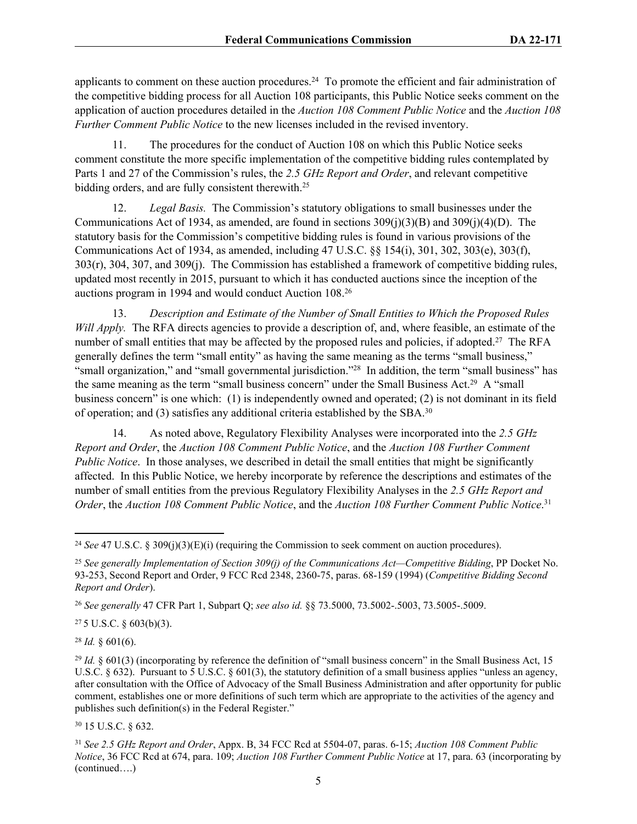applicants to comment on these auction procedures.<sup>24</sup> To promote the efficient and fair administration of the competitive bidding process for all Auction 108 participants, this Public Notice seeks comment on the application of auction procedures detailed in the *Auction 108 Comment Public Notice* and the *Auction 108 Further Comment Public Notice* to the new licenses included in the revised inventory.

11. The procedures for the conduct of Auction 108 on which this Public Notice seeks comment constitute the more specific implementation of the competitive bidding rules contemplated by Parts 1 and 27 of the Commission's rules, the *2.5 GHz Report and Order*, and relevant competitive bidding orders, and are fully consistent therewith.<sup>25</sup>

12. *Legal Basis.* The Commission's statutory obligations to small businesses under the Communications Act of 1934, as amended, are found in sections  $309(i)(3)(B)$  and  $309(i)(4)(D)$ . The statutory basis for the Commission's competitive bidding rules is found in various provisions of the Communications Act of 1934, as amended, including 47 U.S.C. §§ 154(i), 301, 302, 303(e), 303(f), 303(r), 304, 307, and 309(j). The Commission has established a framework of competitive bidding rules, updated most recently in 2015, pursuant to which it has conducted auctions since the inception of the auctions program in 1994 and would conduct Auction 108.<sup>26</sup>

13. *Description and Estimate of the Number of Small Entities to Which the Proposed Rules Will Apply.* The RFA directs agencies to provide a description of, and, where feasible, an estimate of the number of small entities that may be affected by the proposed rules and policies, if adopted.<sup>27</sup> The RFA generally defines the term "small entity" as having the same meaning as the terms "small business," "small organization," and "small governmental jurisdiction."<sup>28</sup> In addition, the term "small business" has the same meaning as the term "small business concern" under the Small Business Act.<sup>29</sup> A "small business concern" is one which: (1) is independently owned and operated; (2) is not dominant in its field of operation; and (3) satisfies any additional criteria established by the SBA.<sup>30</sup>

14. As noted above, Regulatory Flexibility Analyses were incorporated into the *2.5 GHz Report and Order*, the *Auction 108 Comment Public Notice*, and the *Auction 108 Further Comment Public Notice*. In those analyses, we described in detail the small entities that might be significantly affected. In this Public Notice, we hereby incorporate by reference the descriptions and estimates of the number of small entities from the previous Regulatory Flexibility Analyses in the *2.5 GHz Report and Order*, the *Auction 108 Comment Public Notice*, and the *Auction 108 Further Comment Public Notice*. 31

 $275$  U.S.C. § 603(b)(3).

 $28$  *Id.* § 601(6).

<sup>30</sup> 15 U.S.C. § 632.

<sup>24</sup> *See* 47 U.S.C. § 309(j)(3)(E)(i) (requiring the Commission to seek comment on auction procedures).

<sup>25</sup> *See generally Implementation of Section 309(j) of the Communications Act—Competitive Bidding*, PP Docket No. 93-253, Second Report and Order, 9 FCC Rcd 2348, 2360-75, paras. 68-159 (1994) (*Competitive Bidding Second Report and Order*).

<sup>26</sup> *See generally* 47 CFR Part 1, Subpart Q; *see also id.* §§ 73.5000, 73.5002-.5003, 73.5005-.5009.

<sup>&</sup>lt;sup>29</sup> *Id.* § 601(3) (incorporating by reference the definition of "small business concern" in the Small Business Act, 15 U.S.C.  $\S 632$ ). Pursuant to 5 U.S.C.  $\S 601(3)$ , the statutory definition of a small business applies "unless an agency, after consultation with the Office of Advocacy of the Small Business Administration and after opportunity for public comment, establishes one or more definitions of such term which are appropriate to the activities of the agency and publishes such definition(s) in the Federal Register."

<sup>31</sup> *See 2.5 GHz Report and Order*, Appx. B, 34 FCC Rcd at 5504-07, paras. 6-15; *Auction 108 Comment Public Notice*, 36 FCC Rcd at 674, para. 109; *Auction 108 Further Comment Public Notice* at 17, para. 63 (incorporating by (continued….)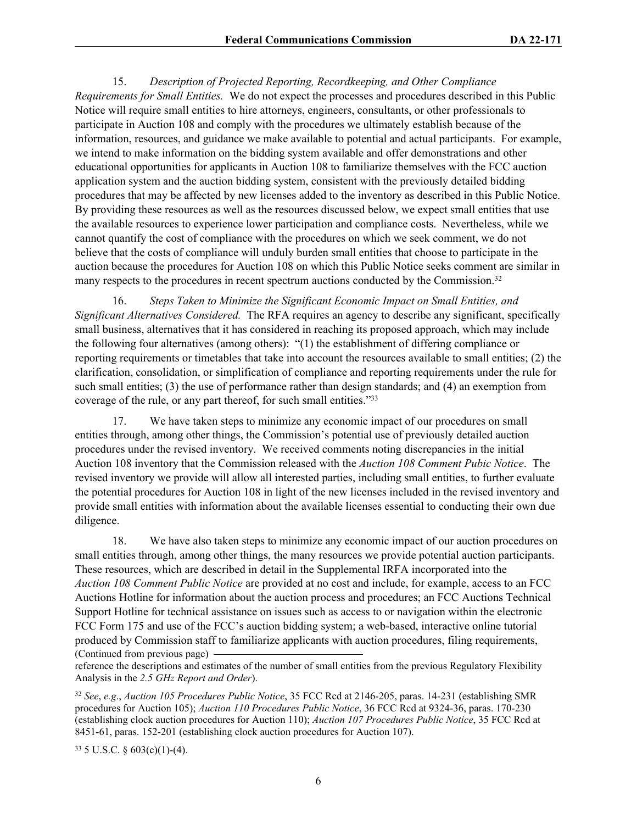15. *Description of Projected Reporting, Recordkeeping, and Other Compliance Requirements for Small Entities.* We do not expect the processes and procedures described in this Public Notice will require small entities to hire attorneys, engineers, consultants, or other professionals to participate in Auction 108 and comply with the procedures we ultimately establish because of the information, resources, and guidance we make available to potential and actual participants. For example, we intend to make information on the bidding system available and offer demonstrations and other educational opportunities for applicants in Auction 108 to familiarize themselves with the FCC auction application system and the auction bidding system, consistent with the previously detailed bidding procedures that may be affected by new licenses added to the inventory as described in this Public Notice. By providing these resources as well as the resources discussed below, we expect small entities that use the available resources to experience lower participation and compliance costs. Nevertheless, while we cannot quantify the cost of compliance with the procedures on which we seek comment, we do not believe that the costs of compliance will unduly burden small entities that choose to participate in the auction because the procedures for Auction 108 on which this Public Notice seeks comment are similar in many respects to the procedures in recent spectrum auctions conducted by the Commission.<sup>32</sup>

16. *Steps Taken to Minimize the Significant Economic Impact on Small Entities, and Significant Alternatives Considered.* The RFA requires an agency to describe any significant, specifically small business, alternatives that it has considered in reaching its proposed approach, which may include the following four alternatives (among others): "(1) the establishment of differing compliance or reporting requirements or timetables that take into account the resources available to small entities; (2) the clarification, consolidation, or simplification of compliance and reporting requirements under the rule for such small entities; (3) the use of performance rather than design standards; and (4) an exemption from coverage of the rule, or any part thereof, for such small entities."<sup>33</sup>

17. We have taken steps to minimize any economic impact of our procedures on small entities through, among other things, the Commission's potential use of previously detailed auction procedures under the revised inventory. We received comments noting discrepancies in the initial Auction 108 inventory that the Commission released with the *Auction 108 Comment Pubic Notice*. The revised inventory we provide will allow all interested parties, including small entities, to further evaluate the potential procedures for Auction 108 in light of the new licenses included in the revised inventory and provide small entities with information about the available licenses essential to conducting their own due diligence.

18. We have also taken steps to minimize any economic impact of our auction procedures on small entities through, among other things, the many resources we provide potential auction participants. These resources, which are described in detail in the Supplemental IRFA incorporated into the *Auction 108 Comment Public Notice* are provided at no cost and include, for example, access to an FCC Auctions Hotline for information about the auction process and procedures; an FCC Auctions Technical Support Hotline for technical assistance on issues such as access to or navigation within the electronic FCC Form 175 and use of the FCC's auction bidding system; a web-based, interactive online tutorial produced by Commission staff to familiarize applicants with auction procedures, filing requirements, (Continued from previous page)

reference the descriptions and estimates of the number of small entities from the previous Regulatory Flexibility Analysis in the *2.5 GHz Report and Order*).

<sup>32</sup> *See*, *e.g*., *Auction 105 Procedures Public Notice*, 35 FCC Rcd at 2146-205, paras. 14-231 (establishing SMR procedures for Auction 105); *Auction 110 Procedures Public Notice*, 36 FCC Rcd at 9324-36, paras. 170-230 (establishing clock auction procedures for Auction 110); *Auction 107 Procedures Public Notice*, 35 FCC Rcd at 8451-61, paras. 152-201 (establishing clock auction procedures for Auction 107).

 $33\,$  5 U.S.C. § 603(c)(1)-(4).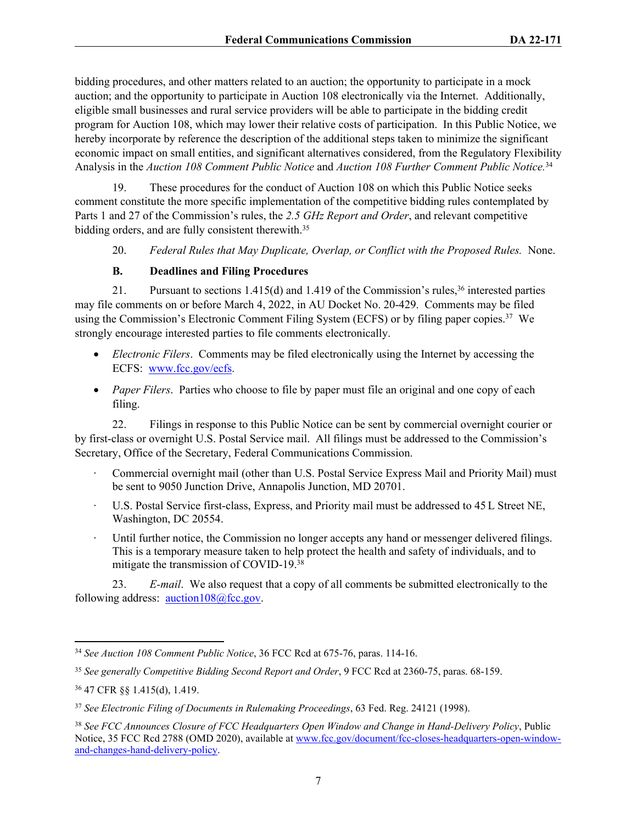bidding procedures, and other matters related to an auction; the opportunity to participate in a mock auction; and the opportunity to participate in Auction 108 electronically via the Internet. Additionally, eligible small businesses and rural service providers will be able to participate in the bidding credit program for Auction 108, which may lower their relative costs of participation. In this Public Notice, we hereby incorporate by reference the description of the additional steps taken to minimize the significant economic impact on small entities, and significant alternatives considered, from the Regulatory Flexibility Analysis in the *Auction 108 Comment Public Notice* and *Auction 108 Further Comment Public Notice.*<sup>34</sup>

19. These procedures for the conduct of Auction 108 on which this Public Notice seeks comment constitute the more specific implementation of the competitive bidding rules contemplated by Parts 1 and 27 of the Commission's rules, the *2.5 GHz Report and Order*, and relevant competitive bidding orders, and are fully consistent therewith.<sup>35</sup>

20. *Federal Rules that May Duplicate, Overlap, or Conflict with the Proposed Rules.* None.

## **B. Deadlines and Filing Procedures**

21. Pursuant to sections 1.415(d) and 1.419 of the Commission's rules,<sup>36</sup> interested parties may file comments on or before March 4, 2022, in AU Docket No. 20-429. Comments may be filed using the Commission's Electronic Comment Filing System (ECFS) or by filing paper copies.<sup>37</sup> We strongly encourage interested parties to file comments electronically.

- *Electronic Filers*. Comments may be filed electronically using the Internet by accessing the ECFS: [www.fcc.gov/ecfs.](https://www.fcc.gov/ecfs/)
- *Paper Filers*. Parties who choose to file by paper must file an original and one copy of each filing.

22. Filings in response to this Public Notice can be sent by commercial overnight courier or by first-class or overnight U.S. Postal Service mail. All filings must be addressed to the Commission's Secretary, Office of the Secretary, Federal Communications Commission.

- · Commercial overnight mail (other than U.S. Postal Service Express Mail and Priority Mail) must be sent to 9050 Junction Drive, Annapolis Junction, MD 20701.
- U.S. Postal Service first-class, Express, and Priority mail must be addressed to 45 L Street NE, Washington, DC 20554.
- Until further notice, the Commission no longer accepts any hand or messenger delivered filings. This is a temporary measure taken to help protect the health and safety of individuals, and to mitigate the transmission of COVID-19.<sup>38</sup>

23. *E-mail*. We also request that a copy of all comments be submitted electronically to the following address:  $auction108@$ fcc.gov.

<sup>34</sup> *See Auction 108 Comment Public Notice*, 36 FCC Rcd at 675-76, paras. 114-16.

<sup>35</sup> *See generally Competitive Bidding Second Report and Order*, 9 FCC Rcd at 2360-75, paras. 68-159.

<sup>36</sup> 47 CFR §§ 1.415(d), 1.419.

<sup>37</sup> *See Electronic Filing of Documents in Rulemaking Proceedings*, 63 Fed. Reg. 24121 (1998).

<sup>38</sup> *See FCC Announces Closure of FCC Headquarters Open Window and Change in Hand-Delivery Policy*, Public Notice, 35 FCC Rcd 2788 (OMD 2020), available at [www.fcc.gov/document/fcc-closes-headquarters-open-window](https://www.fcc.gov/document/fcc-closes-headquarters-open-window-and-changes-hand-delivery-policy)[and-changes-hand-delivery-policy](https://www.fcc.gov/document/fcc-closes-headquarters-open-window-and-changes-hand-delivery-policy).